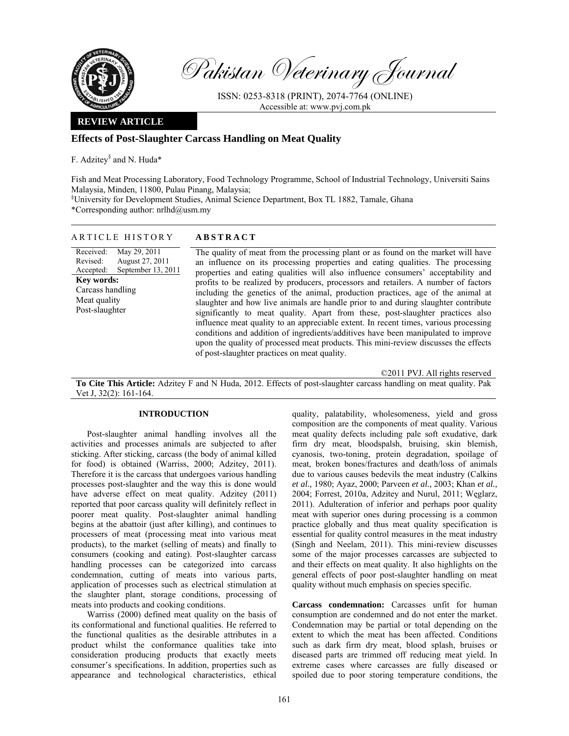

Pakistan Veterinary Journal

ISSN: 0253-8318 (PRINT), 2074-7764 (ONLINE) Accessible at: www.pvj.com.pk

## **REVIEW ARTICLE**

## **Effects of Post-Slaughter Carcass Handling on Meat Quality**

F. Adzitey<sup>§</sup> and N. Huda\*

Fish and Meat Processing Laboratory, Food Technology Programme, School of Industrial Technology, Universiti Sains Malaysia, Minden, 11800, Pulau Pinang, Malaysia;

§ University for Development Studies, Animal Science Department, Box TL 1882, Tamale, Ghana

\*Corresponding author: nrlhd@usm.my

| ARTICLE HISTORY                                                                                                                                                        | <b>ABSTRACT</b>                                                                                                                                                                                                                                                                                                                                                                                                                                                                                                                                                                                                                                                                                                                                                                                                                                                                                                               |
|------------------------------------------------------------------------------------------------------------------------------------------------------------------------|-------------------------------------------------------------------------------------------------------------------------------------------------------------------------------------------------------------------------------------------------------------------------------------------------------------------------------------------------------------------------------------------------------------------------------------------------------------------------------------------------------------------------------------------------------------------------------------------------------------------------------------------------------------------------------------------------------------------------------------------------------------------------------------------------------------------------------------------------------------------------------------------------------------------------------|
| Received:<br>May 29, 2011<br>August 27, 2011<br>Revised:<br>September 13, 2011<br>Accepted:<br><b>Key words:</b><br>Carcass handling<br>Meat quality<br>Post-slaughter | The quality of meat from the processing plant or as found on the market will have<br>an influence on its processing properties and eating qualities. The processing<br>properties and eating qualities will also influence consumers' acceptability and<br>profits to be realized by producers, processors and retailers. A number of factors<br>including the genetics of the animal, production practices, age of the animal at<br>slaughter and how live animals are handle prior to and during slaughter contribute<br>significantly to meat quality. Apart from these, post-slaughter practices also<br>influence meat quality to an appreciable extent. In recent times, various processing<br>conditions and addition of ingredients/additives have been manipulated to improve<br>upon the quality of processed meat products. This mini-review discusses the effects<br>of post-slaughter practices on meat quality. |

©2011 PVJ. All rights reserved

**To Cite This Article:** Adzitey F and N Huda, 2012. Effects of post-slaughter carcass handling on meat quality. Pak Vet J, 32(2): 161-164.

## **INTRODUCTION**

Post-slaughter animal handling involves all the activities and processes animals are subjected to after sticking. After sticking, carcass (the body of animal killed for food) is obtained (Warriss, 2000; Adzitey, 2011). Therefore it is the carcass that undergoes various handling processes post-slaughter and the way this is done would have adverse effect on meat quality. Adzitey (2011) reported that poor carcass quality will definitely reflect in poorer meat quality. Post-slaughter animal handling begins at the abattoir (just after killing), and continues to processers of meat (processing meat into various meat products), to the market (selling of meats) and finally to consumers (cooking and eating). Post-slaughter carcass handling processes can be categorized into carcass condemnation, cutting of meats into various parts, application of processes such as electrical stimulation at the slaughter plant, storage conditions, processing of meats into products and cooking conditions.

Warriss (2000) defined meat quality on the basis of its conformational and functional qualities. He referred to the functional qualities as the desirable attributes in a product whilst the conformance qualities take into consideration producing products that exactly meets consumer's specifications. In addition, properties such as appearance and technological characteristics, ethical

quality, palatability, wholesomeness, yield and gross composition are the components of meat quality. Various meat quality defects including pale soft exudative, dark firm dry meat, bloodspalsh, bruising, skin blemish, cyanosis, two-toning, protein degradation, spoilage of meat, broken bones/fractures and death/loss of animals due to various causes bedevils the meat industry (Calkins *et al.,* 1980; Ayaz, 2000; Parveen *et al.,* 2003; Khan *et al.,* 2004; Forrest, 2010a, Adzitey and Nurul, 2011; Węglarz, 2011). Adulteration of inferior and perhaps poor quality meat with superior ones during processing is a common practice globally and thus meat quality specification is essential for quality control measures in the meat industry (Singh and Neelam, 2011). This mini-review discusses some of the major processes carcasses are subjected to and their effects on meat quality. It also highlights on the general effects of poor post-slaughter handling on meat quality without much emphasis on species specific.

**Carcass condemnation:** Carcasses unfit for human consumption are condemned and do not enter the market. Condemnation may be partial or total depending on the extent to which the meat has been affected. Conditions such as dark firm dry meat, blood splash, bruises or diseased parts are trimmed off reducing meat yield. In extreme cases where carcasses are fully diseased or spoiled due to poor storing temperature conditions, the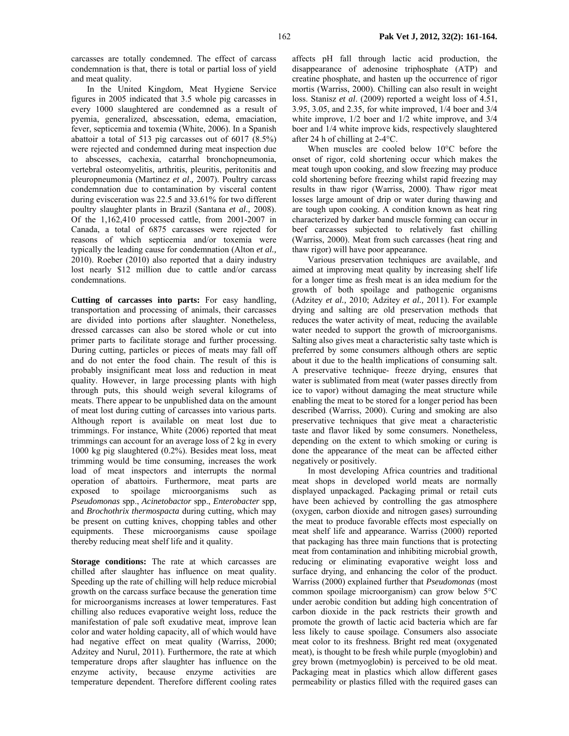carcasses are totally condemned. The effect of carcass condemnation is that, there is total or partial loss of yield and meat quality.

In the United Kingdom, Meat Hygiene Service figures in 2005 indicated that 3.5 whole pig carcasses in every 1000 slaughtered are condemned as a result of pyemia, generalized, abscessation, edema, emaciation, fever, septicemia and toxemia (White, 2006). In a Spanish abattoir a total of 513 pig carcasses out of 6017 (8.5%) were rejected and condemned during meat inspection due to abscesses, cachexia, catarrhal bronchopneumonia, vertebral osteomyelitis, arthritis, pleuritis, peritonitis and pleuropneumonia (Martinez *et al*.*,* 2007). Poultry carcass condemnation due to contamination by visceral content during evisceration was 22.5 and 33.61% for two different poultry slaughter plants in Brazil (Santana *et al.,* 2008). Of the 1,162,410 processed cattle, from 2001-2007 in Canada, a total of 6875 carcasses were rejected for reasons of which septicemia and/or toxemia were typically the leading cause for condemnation (Alton *et al.,* 2010). Roeber (2010) also reported that a dairy industry lost nearly \$12 million due to cattle and/or carcass condemnations.

**Cutting of carcasses into parts:** For easy handling, transportation and processing of animals, their carcasses are divided into portions after slaughter. Nonetheless, dressed carcasses can also be stored whole or cut into primer parts to facilitate storage and further processing. During cutting, particles or pieces of meats may fall off and do not enter the food chain. The result of this is probably insignificant meat loss and reduction in meat quality. However, in large processing plants with high through puts, this should weigh several kilograms of meats. There appear to be unpublished data on the amount of meat lost during cutting of carcasses into various parts. Although report is available on meat lost due to trimmings. For instance, White (2006) reported that meat trimmings can account for an average loss of 2 kg in every 1000 kg pig slaughtered (0.2%). Besides meat loss, meat trimming would be time consuming, increases the work load of meat inspectors and interrupts the normal operation of abattoirs. Furthermore, meat parts are exposed to spoilage microorganisms such as *Pseudomonas* spp., *Acinetobactor* spp., *Enterobacter* spp, and *Brochothrix thermospacta* during cutting, which may be present on cutting knives, chopping tables and other equipments. These microorganisms cause spoilage thereby reducing meat shelf life and it quality.

**Storage conditions:** The rate at which carcasses are chilled after slaughter has influence on meat quality. Speeding up the rate of chilling will help reduce microbial growth on the carcass surface because the generation time for microorganisms increases at lower temperatures. Fast chilling also reduces evaporative weight loss, reduce the manifestation of pale soft exudative meat, improve lean color and water holding capacity, all of which would have had negative effect on meat quality (Warriss, 2000; Adzitey and Nurul, 2011). Furthermore, the rate at which temperature drops after slaughter has influence on the enzyme activity, because enzyme activities are temperature dependent. Therefore different cooling rates affects pH fall through lactic acid production, the disappearance of adenosine triphosphate (ATP) and creatine phosphate, and hasten up the occurrence of rigor mortis (Warriss, 2000). Chilling can also result in weight loss. Stanisz *et al*. (2009) reported a weight loss of 4.51, 3.95, 3.05, and 2.35, for white improved, 1/4 boer and 3/4 white improve, 1/2 boer and 1/2 white improve, and 3/4 boer and 1/4 white improve kids, respectively slaughtered after 24 h of chilling at 2-4°C.

When muscles are cooled below 10°C before the onset of rigor, cold shortening occur which makes the meat tough upon cooking, and slow freezing may produce cold shortening before freezing whilst rapid freezing may results in thaw rigor (Warriss, 2000). Thaw rigor meat losses large amount of drip or water during thawing and are tough upon cooking. A condition known as heat ring characterized by darker band muscle forming can occur in beef carcasses subjected to relatively fast chilling (Warriss, 2000). Meat from such carcasses (heat ring and thaw rigor) will have poor appearance.

Various preservation techniques are available, and aimed at improving meat quality by increasing shelf life for a longer time as fresh meat is an idea medium for the growth of both spoilage and pathogenic organisms (Adzitey *et al.,* 2010; Adzitey *et al.,* 2011). For example drying and salting are old preservation methods that reduces the water activity of meat, reducing the available water needed to support the growth of microorganisms. Salting also gives meat a characteristic salty taste which is preferred by some consumers although others are septic about it due to the health implications of consuming salt. A preservative technique- freeze drying, ensures that water is sublimated from meat (water passes directly from ice to vapor) without damaging the meat structure while enabling the meat to be stored for a longer period has been described (Warriss, 2000). Curing and smoking are also preservative techniques that give meat a characteristic taste and flavor liked by some consumers. Nonetheless, depending on the extent to which smoking or curing is done the appearance of the meat can be affected either negatively or positively.

In most developing Africa countries and traditional meat shops in developed world meats are normally displayed unpackaged. Packaging primal or retail cuts have been achieved by controlling the gas atmosphere (oxygen, carbon dioxide and nitrogen gases) surrounding the meat to produce favorable effects most especially on meat shelf life and appearance. Warriss (2000) reported that packaging has three main functions that is protecting meat from contamination and inhibiting microbial growth, reducing or eliminating evaporative weight loss and surface drying, and enhancing the color of the product. Warriss (2000) explained further that *Pseudomonas* (most common spoilage microorganism) can grow below 5°C under aerobic condition but adding high concentration of carbon dioxide in the pack restricts their growth and promote the growth of lactic acid bacteria which are far less likely to cause spoilage. Consumers also associate meat color to its freshness. Bright red meat (oxygenated meat), is thought to be fresh while purple (myoglobin) and grey brown (metmyoglobin) is perceived to be old meat. Packaging meat in plastics which allow different gases permeability or plastics filled with the required gases can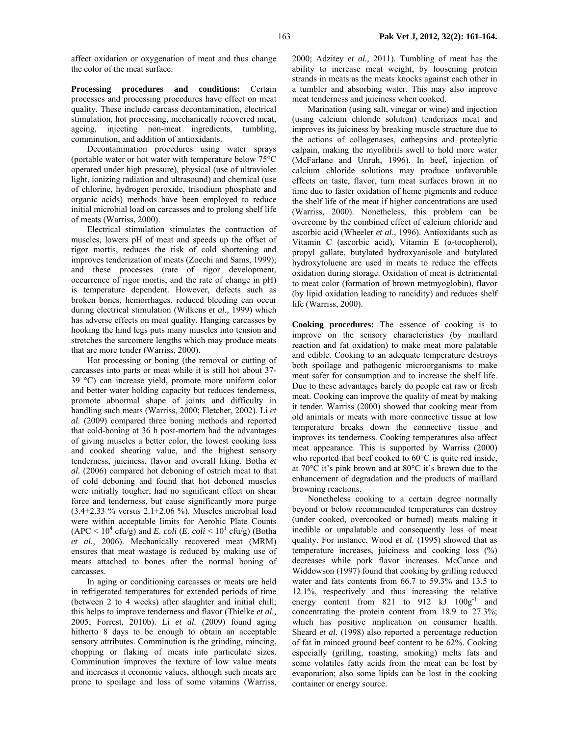affect oxidation or oxygenation of meat and thus change the color of the meat surface.

**Processing procedures and conditions:** Certain processes and processing procedures have effect on meat quality. These include carcass decontamination, electrical stimulation, hot processing, mechanically recovered meat, ageing, injecting non-meat ingredients, tumbling, comminution, and addition of antioxidants.

Decontamination procedures using water sprays (portable water or hot water with temperature below 75°C operated under high pressure), physical (use of ultraviolet light, ionizing radiation and ultrasound) and chemical (use of chlorine, hydrogen peroxide, trisodium phosphate and organic acids) methods have been employed to reduce initial microbial load on carcasses and to prolong shelf life of meats (Warriss, 2000).

Electrical stimulation stimulates the contraction of muscles, lowers pH of meat and speeds up the offset of rigor mortis, reduces the risk of cold shortening and improves tenderization of meats (Zocchi and Sams, 1999); and these processes (rate of rigor development, occurrence of rigor mortis, and the rate of change in pH) is temperature dependent. However, defects such as broken bones, hemorrhages, reduced bleeding can occur during electrical stimulation (Wilkens *et al.,* 1999) which has adverse effects on meat quality. Hanging carcasses by hooking the hind legs puts many muscles into tension and stretches the sarcomere lengths which may produce meats that are more tender (Warriss, 2000).

Hot processing or boning (the removal or cutting of carcasses into parts or meat while it is still hot about 37- 39 °C) can increase yield, promote more uniform color and better water holding capacity but reduces tenderness, promote abnormal shape of joints and difficulty in handling such meats (Warriss, 2000; Fletcher, 2002). Li *et al.* (2009) compared three boning methods and reported that cold-boning at 36 h post-mortem had the advantages of giving muscles a better color, the lowest cooking loss and cooked shearing value, and the highest sensory tenderness, juiciness, flavor and overall liking. Botha *et al.* (2006) compared hot deboning of ostrich meat to that of cold deboning and found that hot deboned muscles were initially tougher, had no significant effect on shear force and tenderness, but cause significantly more purge (3.4±2.33 % versus 2.1±2.06 %). Muscles microbial load were within acceptable limits for Aerobic Plate Counts  $(APC < 10<sup>4</sup> c f u/g)$  and *E. coli*  $(E. \text{ coli} < 10<sup>1</sup> c f u/g)$  (Botha *et al.,* 2006). Mechanically recovered meat (MRM) ensures that meat wastage is reduced by making use of meats attached to bones after the normal boning of carcasses.

In aging or conditioning carcasses or meats are held in refrigerated temperatures for extended periods of time (between 2 to 4 weeks) after slaughter and initial chill; this helps to improve tenderness and flavor (Thielke *et al.,* 2005; Forrest, 2010b). Li *et al.* (2009) found aging hitherto 8 days to be enough to obtain an acceptable sensory attributes. Comminution is the grinding, mincing, chopping or flaking of meats into particulate sizes. Comminution improves the texture of low value meats and increases it economic values, although such meats are prone to spoilage and loss of some vitamins (Warriss,

2000; Adzitey *et al.,* 2011). Tumbling of meat has the ability to increase meat weight, by loosening protein strands in meats as the meats knocks against each other in a tumbler and absorbing water. This may also improve meat tenderness and juiciness when cooked.

Marination (using salt, vinegar or wine) and injection (using calcium chloride solution) tenderizes meat and improves its juiciness by breaking muscle structure due to the actions of collagenases, cathepsins and proteolytic calpain, making the myofibrils swell to hold more water (McFarlane and Unruh, 1996). In beef, injection of calcium chloride solutions may produce unfavorable effects on taste, flavor, turn meat surfaces brown in no time due to faster oxidation of heme pigments and reduce the shelf life of the meat if higher concentrations are used (Warriss, 2000). Nonetheless, this problem can be overcome by the combined effect of calcium chloride and ascorbic acid (Wheeler *et al*., 1996). Antioxidants such as Vitamin C (ascorbic acid), Vitamin E (α-tocopherol), propyl gallate, butylated hydroxyanisole and butylated hydroxytoluene are used in meats to reduce the effects oxidation during storage. Oxidation of meat is detrimental to meat color (formation of brown metmyoglobin), flavor (by lipid oxidation leading to rancidity) and reduces shelf life (Warriss, 2000).

**Cooking procedures:** The essence of cooking is to improve on the sensory characteristics (by maillard reaction and fat oxidation) to make meat more palatable and edible. Cooking to an adequate temperature destroys both spoilage and pathogenic microorganisms to make meat safer for consumption and to increase the shelf life. Due to these advantages barely do people eat raw or fresh meat. Cooking can improve the quality of meat by making it tender. Warriss (2000) showed that cooking meat from old animals or meats with more connective tissue at low temperature breaks down the connective tissue and improves its tenderness. Cooking temperatures also affect meat appearance. This is supported by Warriss (2000) who reported that beef cooked to 60<sup>o</sup>C is quite red inside, at 70°C it's pink brown and at 80°C it's brown due to the enhancement of degradation and the products of maillard browning reactions.

Nonetheless cooking to a certain degree normally beyond or below recommended temperatures can destroy (under cooked, overcooked or burned) meats making it inedible or unpalatable and consequently loss of meat quality. For instance, Wood *et al.* (1995) showed that as temperature increases, juiciness and cooking loss (%) decreases while pork flavor increases. McCance and Widdowson (1997) found that cooking by grilling reduced water and fats contents from 66.7 to 59.3% and 13.5 to 12.1%, respectively and thus increasing the relative energy content from 821 to 912 kJ  $100g^{-1}$  and concentrating the protein content from 18.9 to 27.3%; which has positive implication on consumer health. Sheard *et al.* (1998) also reported a percentage reduction of fat in minced ground beef content to be 62%. Cooking especially (grilling, roasting, smoking) melts fats and some volatiles fatty acids from the meat can be lost by evaporation; also some lipids can be lost in the cooking container or energy source.